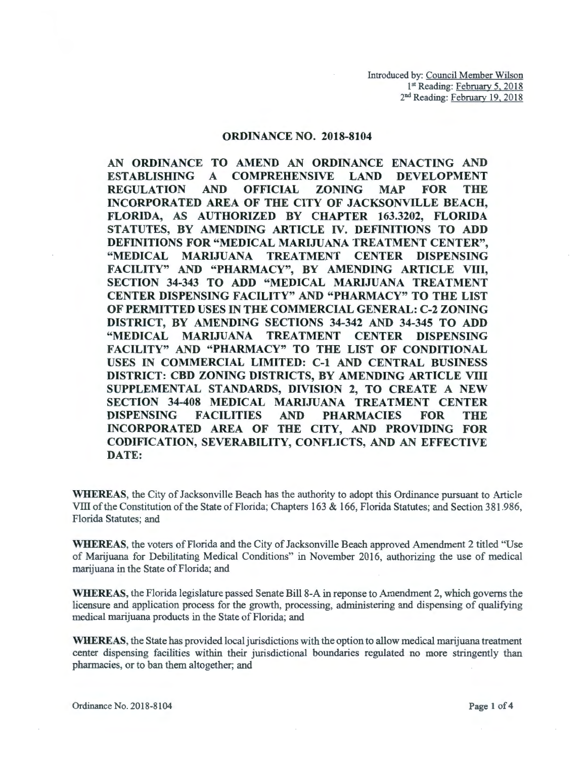## ORDINANCE NO. 2018-8104

AN ORDINANCE TO AMEND AN ORDINANCE ENACTING AND<br>ESTABLISHING A COMPREHENSIVE LAND DEVELOPMENT ESTABLISHING A COMPREHENSIVE LAND DEVELOPMENT<br>REGULATION AND OFFICIAL ZONING MAP FOR THE REGULATION AND OFFICIAL ZONING MAP FOR THE INCORPORATED AREA OF THE CITY OF JACKSONVILLE BEACH, FLORIDA, AS AUTHORIZED BY CHAPTER 163.3202, FLORIDA STATUTES, BY AMENDING ARTICLE IV. DEFINITIONS TO ADD DEFINITIONS FOR "MEDICAL MARIJUANA TREATMENT CENTER", "MEDICAL MARIJUANA TREATMENT CENTER DISPENSING FACILITY" AND "PHARMACY", BY AMENDING ARTICLE VIII, SECTION 34-343 TO ADD "MEDICAL MARIJUANA TREATMENT CENTER DISPENSING FACILITY" AND "PHARMACY" TO THE LIST OF PERMITTED USES IN THE COMMERCIAL GENERAL: C-2 ZONING DISTRICT, BY AMENDING SECTIONS 34-342 AND 34-345 TO ADD "MEDICAL MARIJUANA TREATMENT CENTER DISPENSING FACILITY" AND "PHARMACY" TO THE LIST OF CONDITIONAL USES IN COMMERCIAL LIMITED: C-1 AND CENTRAL BUSINESS DISTRICT: CBD ZONING DISTRICTS, BY AMENDING ARTICLE VITI SUPPLEMENTAL STANDARDS, DIVISION 2, TO CREATE A NEW SECTION 34-408 MEDICAL MARIJUANA TREATMENT CENTER DISPENSING FACILITIES AND PHARMACIES FOR THE INCORPORATED AREA OF THE CITY, AND PROVIDING FOR CODIFICATION, SEVERABILITY, CONFLICTS, AND AN EFFECTIVE DATE:

WHEREAS, the City of Jacksonville Beach has the authority to adopt this Ordinance pursuant to Article VIII of the Constitution of the State of Florida; Chapters 163 & 166, Florida Statutes; and Section 381.986, Florida Statutes; and

WHEREAS, the voters of Florida and the City of Jacksonville Beach approved Amendment 2 titled "Use of Marijuana for Debilitating Medical Conditions" in November 2016, authorizing the use of medical marijuana in the State of Florida; and

WHEREAS, the Florida legislature passed Senate Bill 8-A in reponse to Amendment 2, which governs the licensure and application process for the growth, processing, administering and dispensing of qualifying medical marijuana products in the State of Florida; and

WHEREAS, the State has provided local jurisdictions with the option to allow medical marijuana treatment center dispensing facilities within their jurisdictional boundaries regulated no more stringently than pharmacies, or to ban them altogether; and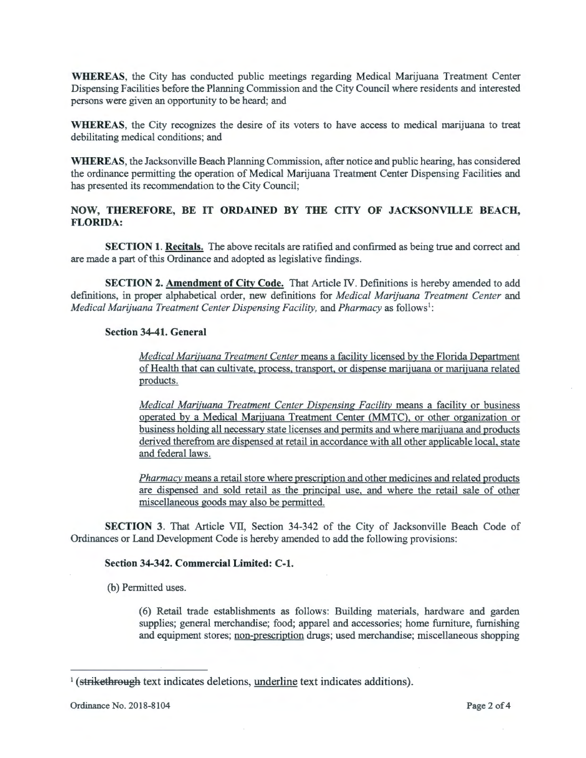**WHEREAS,** the City has conducted public meetings regarding Medical Marijuana Treatment Center Dispensing Facilities before the Planning Commission and the City Council where residents and interested persons were given an opportunity to be heard; and

**WHEREAS,** the City recognizes the desire of its voters to have access to medical marijuana to treat debilitating medical conditions; and

**WHEREAS,** the Jacksonville Beach Planning Commission, after notice and public hearing, has considered the ordinance permitting the operation of Medical Marijuana Treatment Center Dispensing Facilities and has presented its recommendation to the City Council;

# **NOW, THEREFORE, BE IT ORDAINED BY THE CITY OF JACKSONVILLE BEACH, FLORIDA:**

**SECTION 1. Recitals.** The above recitals are ratified and confirmed as being true and correct and are made a part of this Ordinance and adopted as legislative findings.

**SECTION 2. Amendment of City Code.** That Article IV. Definitions is hereby amended to add definitions, in proper alphabetical order, new definitions for *Medical Marijuana Treatment Center* and *Medical Marijuana Treatment Center Dispensing Facility, and Pharmacy as follows<sup>1</sup>:* 

## **Section 34-41. General**

*Medical Marijuana Treatment Center* means a facility licensed by the Florida Department of Health that can cultivate, process, transport, or dispense marijuana or marijuana related products.

*Medical Marijuana Treatment Center Dispensing Facility* means a facility or business operated by a Medical Marijuana Treatment Center (MMTC), or other organization or business holding all necessary state licenses and permits and where marijuana and products derived therefrom are dispensed at retail in accordance with all other applicable local, state and federal laws.

*Pharmacy* means a retail store where prescription and other medicines and related products are dispensed and sold retail as the principal use, and where the retail sale of other miscellaneous goods may also be permitted.

**SECTION** 3. That Article VII, Section 34-342 of the City of Jacksonville Beach Code of Ordinances or Land Development Code is hereby amended to add the following provisions:

## **Section 34-342. Commercial Limited: C-1.**

(b) Permitted uses.

(6) Retail trade establishments as follows: Building materials, hardware and garden supplies; general merchandise; food; apparel and accessories; home furniture, furnishing and equipment stores; non-prescription drugs; used merchandise; miscellaneous shopping

<sup>&</sup>lt;sup>1</sup> (strikethrough text indicates deletions, underline text indicates additions).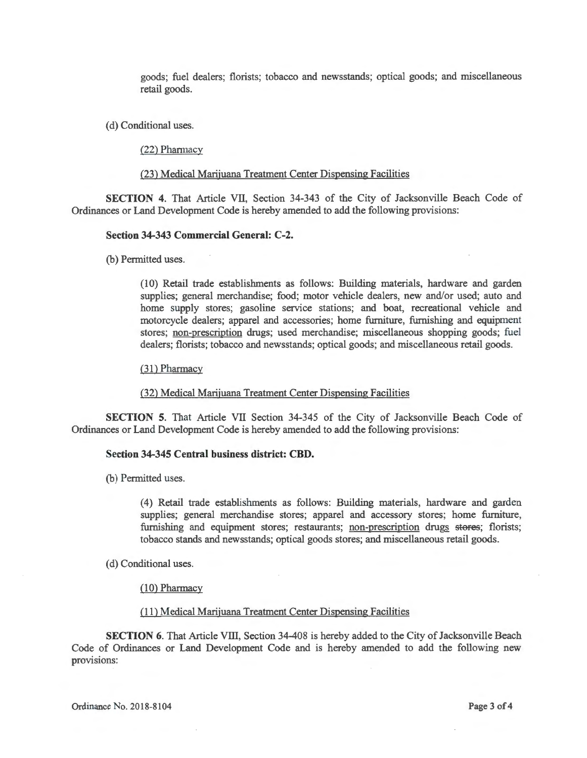goods; fuel dealers; florists; tobacco and newsstands; optical goods; and miscellaneous retail goods.

(d) Conditional uses.

(22) Pharmacy

(23) Medical Marijuana Treatment Center Dispensing Facilities

**SECTION 4.** That Article VII, Section 34-343 of the City of Jacksonville Beach Code of Ordinances or Land Development Code is hereby amended to add the following provisions:

#### **Section 34-343 Commercial General:** C-2.

(b) Permitted uses.

( 10) Retail trade establishments as follows: Building materials, hardware and garden supplies; general merchandise; food; motor vehicle dealers, new and/or used; auto and home supply stores; gasoline service stations; and boat, recreational vehicle and motorcycle dealers; apparel and accessories; home furniture, furnishing and equipment stores; non-prescription drugs; used merchandise; miscellaneous shopping goods; fuel dealers; florists; tobacco and newsstands; optical goods; and miscellaneous retail goods.

(31) Pharmacy

(32) Medical Marijuana Treatment Center Dispensing Facilities

**SECTION 5.** That Article VII Section 34-345 of the City of Jacksonville Beach Code of Ordinances or Land Development Code is hereby amended to add the following provisions:

## **Section 34-345 Central business district: CBD.**

(b) Permitted uses.

(4) Retail trade establishments as follows: Building materials, hardware and garden supplies; general merchandise stores; apparel and accessory stores; home furniture, furnishing and equipment stores; restaurants; non-prescription drugs stores; florists; tobacco stands and newsstands; optical goods stores; and miscellaneous retail goods.

(d) Conditional uses.

(10) Pharmacy

#### (11) Medical Marijuana Treatment Center Dispensing Facilities

**SECTION 6.** That Article VIII, Section 34-408 is hereby added to the City of Jacksonville Beach Code of Ordinances or Land Development Code and is hereby amended to add the following new provisions: